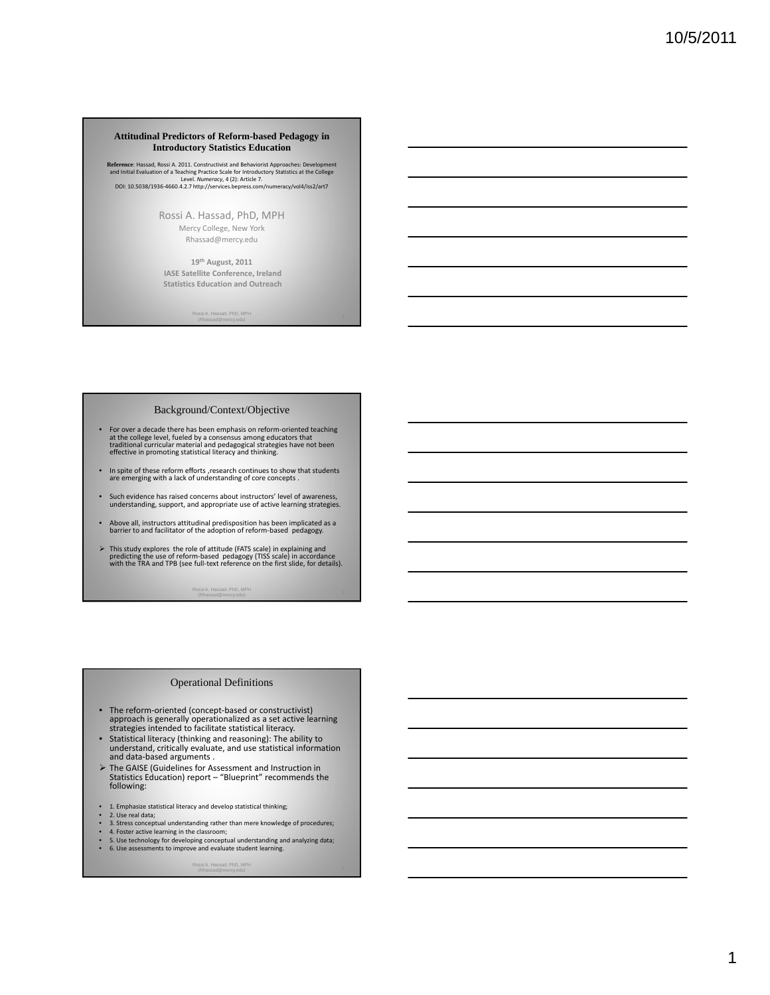#### **Attitudinal Predictors of Reform-based Pedagogy in Introductory Statistics Education**

**Reference:** Hassad, Rossi A. 2011. Constructivist and Behaviorist Approaches: Development<br>and Initial Evaluation of a Teaching Practice Scale for Introductory Statistics at the College<br>Level. Numerarcy, 4 (2): Article 7.<br>

Rossi A. Hassad, PhD, MPH Mercy College, New York Rhassad@mercy.edu

**19th August, 2011 IASE Satellite Conference, Ireland Statistics Education and Outreach**

ad, PhD, MPH

#### Background/Context/Objective

- For over a decade there has been emphasis on reform-oriented teaching<br>at the college level, fueled by a consensus among educators that<br>traditional curricular material and pedagogical strategies have not been<br>effective in
- In spite of these reform efforts ,research continues to show that students are emerging with <sup>a</sup> lack of understanding of core concepts .
- Such evidence has raised concerns about instructors' level of awareness, understanding, support, and appropriate use of active learning strategies.
- Above all, instructors attitudinal predisposition has been implicated as a barrier to and facilitator of the adoption of reform-based pedagogy.
- $\triangleright$  This study explores the role of attitude (FATS scale) in explaining and predicting the use of reform-based pedagogy (TISS scale) in accordance with the TRA and TPB (see full-text reference on the first slide, for d

<sup>2</sup> Rossi A. Hassad, PhD, MPH (Rhassad@mercy.edu)

#### Operational Definitions

- The reform-oriented (concept-based or constructivist) approach is generally operationalized as a set active learning strategies intended to facilitate statistical literacy.
- Statistical literacy (thinking and reasoning): The ability to understand, critically evaluate, and use statistical information and data-based arguments .
- ¾ The GAISE (Guidelines for Assessment and Instruction in Statistics Education) report "Blueprint" recommends the following:
- 1. Emphasize statistical literacy and develop statistical thinking;<br>• 2. Use real data;<br>• 3. Stress concentual understanding rather than mere knowledge
- 
- 2. Use real data; 3. Stress conceptual understanding rather than mere knowledge of procedures;
- 
- 4. Foster active learning in the classroom; 5. Use technology for developing conceptual understanding and analyzing data; 6. Use assessments to improve and evaluate student learning.

<sup>3</sup> Rossi A. Hassad, PhD, MPH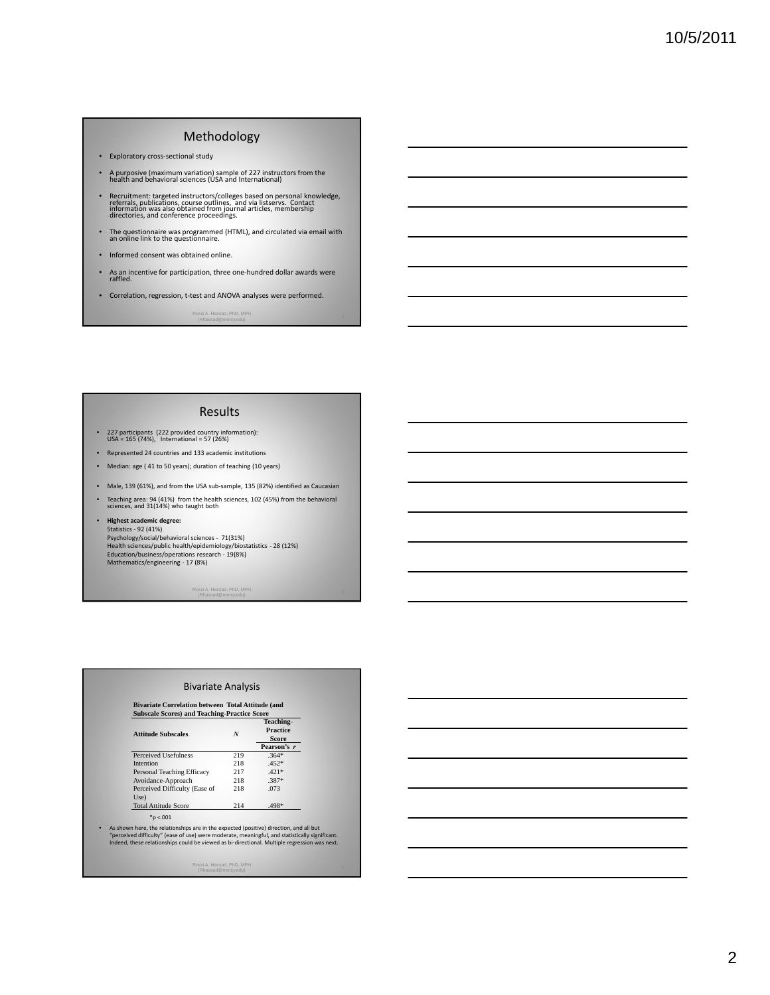# Methodology

- Exploratory cross‐sectional study
- <sup>A</sup> purposive (maximum variation) sample of <sup>227</sup> instructors from the health and behavioral sciences (USA and International)
- Recruitment: targeted instructors/colleges based on personal knowledge,<br>referrals, publications, course outlines, and via listservs. Contact<br>information was also obtained from journal articles, membership<br>directories, and
- The questionnaire was programmed (HTML), and circulated via email with an online link to the questionnaire.
- Informed consent was obtained online.
- As an incentive for participation, three one‐hundred dollar awards were raffled.
- Correlation, regression, t‐test and ANOVA analyses were performed.

<sup>4</sup> Rossi A. Hassad, PhD, MPH (Rhassad@mercy.edu)

#### Results

- <sup>227</sup> participants (222 provided country information): USA <sup>=</sup> <sup>165</sup> (74%), International <sup>=</sup> <sup>57</sup> (26%)
- Represented 24 countries and 133 academic institutions
- Median: age ( 41 to 50 years); duration of teaching (10 years)
- Male, 139 (61%), and from the USA sub-sample, 135 (82%) identified as Caucasian
- Teaching area: 94 (41%) from the health sciences, 102 (45%) from the behavioral sciences, and 31(14%) who taught both

#### • **Highest academic degree:** Statistics ‐ 92 (41%) Psychology/social/behavioral sciences ‐ 71(31%) Health sciences/public health/epidemiology/biostatistics ‐ 28 (12%) Education/business/operations research ‐ 19(8%) Mathematics/engineering ‐ 17 (8%)

<sup>5</sup> Rossi A. Hassad, PhD, MPH (Rhassad@mercy.edu)

| <b>Subscale Scores) and Teaching-Practice Score</b><br><b>Attitude Subscales</b> | N   | <b>Teaching-</b><br><b>Practice</b><br><b>Score</b> |  |
|----------------------------------------------------------------------------------|-----|-----------------------------------------------------|--|
|                                                                                  |     | Pearson's r                                         |  |
| <b>Perceived Usefulness</b>                                                      | 219 | $.364*$                                             |  |
| Intention                                                                        | 218 | $.452*$                                             |  |
| Personal Teaching Efficacy                                                       | 217 | $.421*$                                             |  |
| Avoidance-Approach                                                               | 218 | $.387*$                                             |  |
| Perceived Difficulty (Ease of<br>Use)                                            | 218 | .073                                                |  |
| <b>Total Attitude Score</b>                                                      | 214 | .498*                                               |  |
| $*$ p <.001                                                                      |     |                                                     |  |

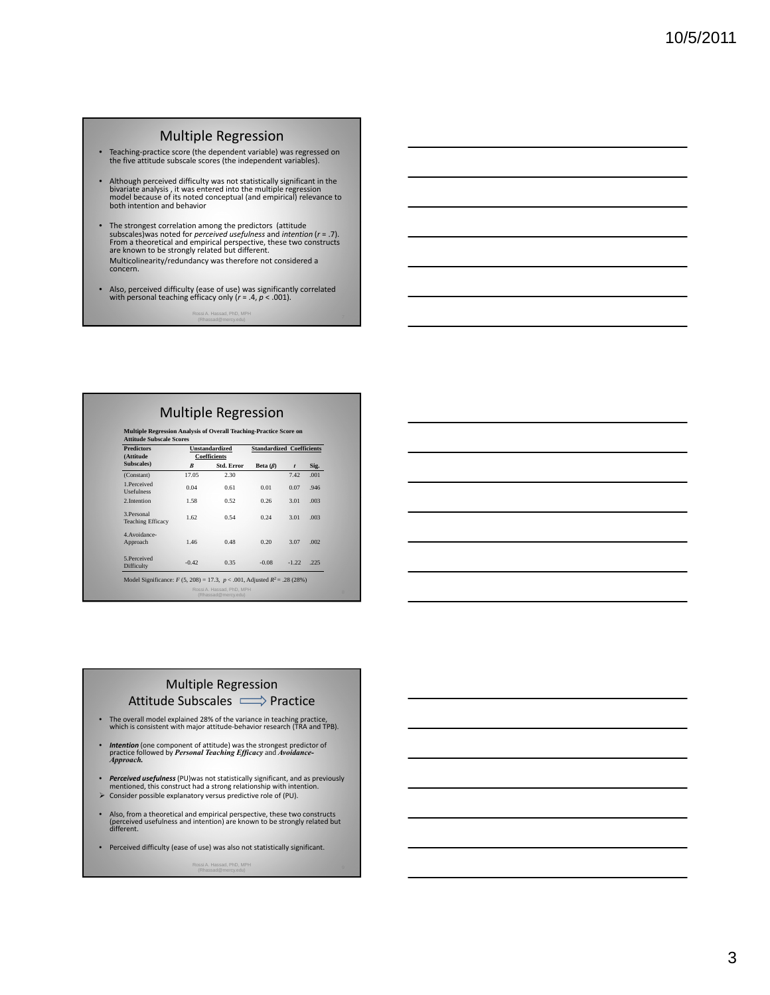### Multiple Regression

- Teaching‐practice score (the dependent variable) was regressed on the five attitude subscale scores (the independent variables).
- Although perceived difficulty was not statistically significant in the bivariate analysis , it was entered into the multiple regression model because of its noted conceptual (and empirical) relevance to both intention an
- The strongest correlation among the predictors (attitude<br>subscales)was noted for *perceived usefulness* and *intention*  $(r = .7)$ .<br>From a theoretical and empirical perspective, these two constructs<br>are known to be strongl Multicolinearity/redundancy was therefore not considered <sup>a</sup> concern.
- Also, perceived difficulty (ease of use) was significantly correlated with personal teaching efficacy only (*r* = .4, *p* < .001).

<sup>7</sup> Rossi A. Hassad, PhD, MPH

## Multiple Regression

| <b>Predictors</b>                       | <b>Unstandardized</b><br><b>Coefficients</b> |                   | <b>Standardized Coefficients</b> |                  |      |
|-----------------------------------------|----------------------------------------------|-------------------|----------------------------------|------------------|------|
| (Attitude                               |                                              |                   |                                  |                  |      |
| Subscales)                              | $\boldsymbol{B}$                             | <b>Std. Error</b> | Beta $(\beta)$                   | $\boldsymbol{t}$ | Sig. |
| (Constant)                              | 17.05                                        | 2.30              |                                  | 7.42             | .001 |
| 1.Perceived<br><b>Usefulness</b>        | 0.04                                         | 0.61              | 0.01                             | 0.07             | .946 |
| 2. Intention                            | 1.58                                         | 0.52              | 0.26                             | 3.01             | .003 |
| 3. Personal<br><b>Teaching Efficacy</b> | 1.62                                         | 0.54              | 0.24                             | 3.01             | .003 |
| 4. Avoidance-<br>Approach               | 1.46                                         | 0.48              | 0.20                             | 3.07             | .002 |
| 5 Perceived<br>Difficulty               | $-0.42$                                      | 0.35              | $-0.08$                          | $-1.22$          | .225 |

# Multiple Regression Attitude Subscales  $\implies$  Practice

- The overall model explained 28% of the variance in teaching practice, which is consistent with major attitude‐behavior research (TRA and TPB).
- 
- *Intention* (one component of attitude) was the strongest predictor of practice followed by *Personal Teaching Efficacy* and *Avoidance- Approach.*
- *Perceived usefulness* (PU)was not statistically significant, and as previously mentioned, this construct had a strong relationship with intention.
- $\triangleright$  Consider possible explanatory versus predictive role of (PU).
- Also, from <sup>a</sup> theoretical and empirical perspective, these two constructs (perceived usefulness and intention) are known to be strongly related but different.
- Perceived difficulty (ease of use) was also not statistically significant.

<sup>9</sup> Rossi A. Hassad, PhD, MPH